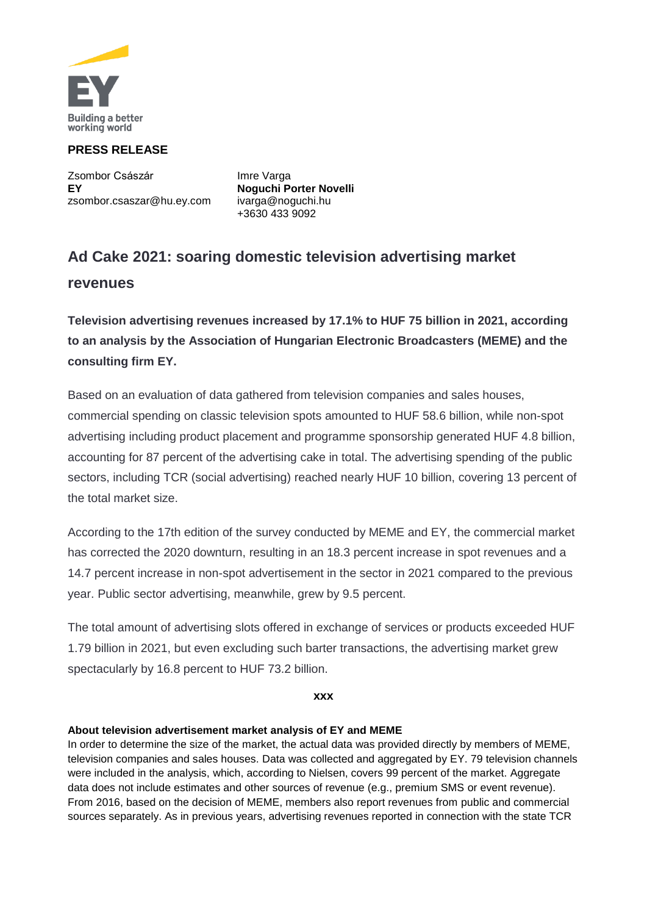

# **PRESS RELEASE**

Zsombor Császár **Imre Varga EY Noguchi Porter Novelli** [zsombor.csaszar@hu.ey.com](mailto:zsombor.csaszar@hu.ey.com) [ivarga@noguchi.hu](mailto:ivarga@noguchi.hu)

+3630 433 9092

# **Ad Cake 2021: soaring domestic television advertising market revenues**

**Television advertising revenues increased by 17.1% to HUF 75 billion in 2021, according to an analysis by the Association of Hungarian Electronic Broadcasters (MEME) and the consulting firm EY.** 

Based on an evaluation of data gathered from television companies and sales houses, commercial spending on classic television spots amounted to HUF 58.6 billion, while non-spot advertising including product placement and programme sponsorship generated HUF 4.8 billion, accounting for 87 percent of the advertising cake in total. The advertising spending of the public sectors, including TCR (social advertising) reached nearly HUF 10 billion, covering 13 percent of the total market size.

According to the 17th edition of the survey conducted by MEME and EY, the commercial market has corrected the 2020 downturn, resulting in an 18.3 percent increase in spot revenues and a 14.7 percent increase in non-spot advertisement in the sector in 2021 compared to the previous year. Public sector advertising, meanwhile, grew by 9.5 percent.

The total amount of advertising slots offered in exchange of services or products exceeded HUF 1.79 billion in 2021, but even excluding such barter transactions, the advertising market grew spectacularly by 16.8 percent to HUF 73.2 billion.

**xxx**

## **About television advertisement market analysis of EY and MEME**

In order to determine the size of the market, the actual data was provided directly by members of MEME, television companies and sales houses. Data was collected and aggregated by EY. 79 television channels were included in the analysis, which, according to Nielsen, covers 99 percent of the market. Aggregate data does not include estimates and other sources of revenue (e.g., premium SMS or event revenue). From 2016, based on the decision of MEME, members also report revenues from public and commercial sources separately. As in previous years, advertising revenues reported in connection with the state TCR